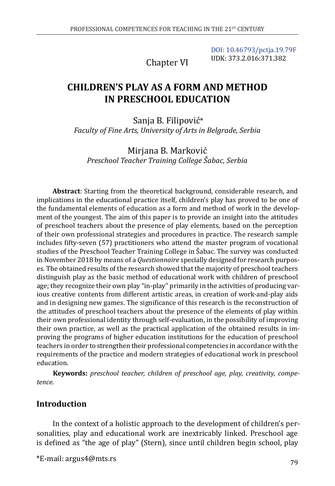Chapter VI

[DOI: 10.46793/pctja.19.79F](https://doi.org/10.46793/pctja.19.79F) UDK: 373.2.016:371.382

# **CHILDREN'S PLAY AS A FORM AND METHOD IN PRESCHOOL EDUCATION**

Sanja B. Filipović\* *Faculty of Fine Arts, University of Arts in Belgrade, Serbia*

Mirjana B. Marković *Preschool Teacher Training College Šabac, Serbia*

**Abstract**: Starting from the theoretical background, considerable research, and implications in the educational practice itself, children's play has proved to be one of the fundamental elements of education as a form and method of work in the development of the youngest. The aim of this paper is to provide an insight into the attitudes of preschool teachers about the presence of play elements, based on the perception of their own professional strategies and procedures in practice. The research sample includes fifty-seven (57) practitioners who attend the master program of vocational studies of the Preschool Teacher Training College in Šabac. The survey was conducted in November 2018 by means of a *Questionnaire* specially designed for research purposes. The obtained results of the research showed that the majority of preschool teachers distinguish play as the basic method of educational work with children of preschool age; they recognize their own play "in-play" primarily in the activities of producing various creative contents from different artistic areas, in creation of work-and-play aids and in designing new games. The significance of this research is the reconstruction of the attitudes of preschool teachers about the presence of the elements of play within their own professional identity through self-evaluation, in the possibility of improving their own practice, as well as the practical application of the obtained results in improving the programs of higher education institutions for the education of preschool teachers in order to strengthen their professional competencies in accordance with the requirements of the practice and modern strategies of educational work in preschool education.

**Keywords:** *preschool teacher, children of preschool age, play, creativity, competence.*

### **Introduction**

In the context of a holistic approach to the development of children's personalities, play and educational work are inextricably linked. Preschool age is defined as "the age of play" (Stern), since until children begin school, play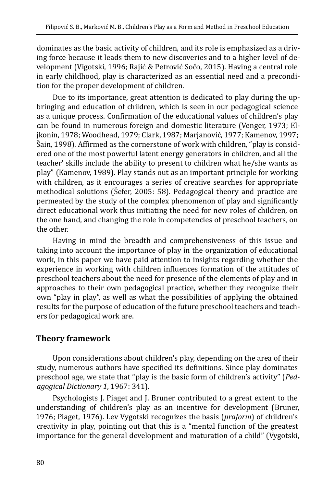dominates as the basic activity of children, and its role is emphasized as a driving force because it leads them to new discoveries and to a higher level of development (Vigotski, 1996; Rajić & Petrović Sočo, 2015). Having a central role in early childhood, play is characterized as an essential need and a precondition for the proper development of children.

Due to its importance, great attention is dedicated to play during the upbringing and education of children, which is seen in our pedagogical science as a unique process. Confirmation of the educational values of children's play can be found in numerous foreign and domestic literature (Venger, 1973; Eljkonin, 1978; Woodhead, 1979; Clark, 1987; Marjanović, 1977; Kamenov, 1997; Šain, 1998). Affirmed as the cornerstone of work with children, "play is considered one of the most powerful latent energy generators in children, and all the teacher' skills include the ability to present to children what he/she wants as play" (Kamenov, 1989). Play stands out as an important principle for working with children, as it encourages a series of creative searches for appropriate methodical solutions (Šefer, 2005: 58). Pedagogical theory and practice are permeated by the study of the complex phenomenon of play and significantly direct educational work thus initiating the need for new roles of children, on the one hand, and changing the role in competencies of preschool teachers, on the other.

Having in mind the breadth and comprehensiveness of this issue and taking into account the importance of play in the organization of educational work, in this paper we have paid attention to insights regarding whether the experience in working with children influences formation of the attitudes of preschool teachers about the need for presence of the elements of play and in approaches to their own pedagogical practice, whether they recognize their own "play in play", as well as what the possibilities of applying the obtained results for the purpose of education of the future preschool teachers and teachers for pedagogical work are.

### **Theory framework**

Upon considerations about children's play, depending on the area of their study, numerous authors have specified its definitions. Since play dominates preschool age, we state that "play is the basic form of children's activity" (*Pedagogical Dictionary 1*, 1967: 341).

Psychologists J. Piaget and J. Bruner contributed to a great extent to the understanding of children's play as an incentive for development (Bruner, 1976; Piaget, 1976). Lev Vygotski recognizes the basis (*praform*) of children's creativity in play, pointing out that this is a "mental function of the greatest importance for the general development and maturation of a child" (Vygotski,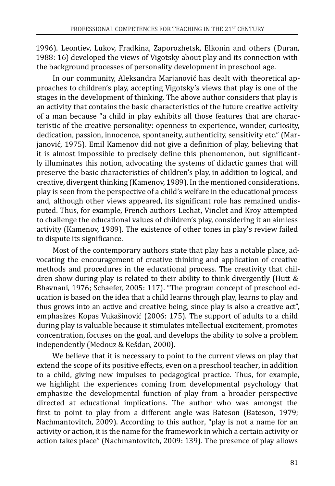1996). Leontiev, Lukov, Fradkina, Zaporozhetsk, Elkonin and others (Duran, 1988: 16) developed the views of Vigotsky about play and its connection with the background processes of personality development in preschool age.

In our community, Aleksandra Marjanović has dealt with theoretical approaches to children's play, accepting Vigotsky's views that play is one of the stages in the development of thinking. The above author considers that play is an activity that contains the basic characteristics of the future creative activity of a man because "a child in play exhibits all those features that are characteristic of the creative personality: openness to experience, wonder, curiosity, dedication, passion, innocence, spontaneity, authenticity, sensitivity etc." (Marjanović, 1975). Emil Kamenov did not give a definition of play, believing that it is almost impossible to precisely define this phenomenon, but significantly illuminates this notion, advocating the systems of didactic games that will preserve the basic characteristics of children's play, in addition to logical, and creative, divergent thinking (Kamenov, 1989). In the mentioned considerations, play is seen from the perspective of a child's welfare in the educational process and, although other views appeared, its significant role has remained undisputed. Thus, for example, French authors Lechat, Vinclet and Kroy attempted to challenge the educational values of children's play, considering it an aimless activity (Kamenov, 1989). The existence of other tones in play's review failed to dispute its significance.

Most of the contemporary authors state that play has a notable place, advocating the encouragement of creative thinking and application of creative methods and procedures in the educational process. The creativity that children show during play is related to their ability to think divergently (Hutt & Bhavnani, 1976; Schaefer, 2005: 117). "The program concept of preschool education is based on the idea that a child learns through play, learns to play and thus grows into an active and creative being, since play is also a creative act", emphasizes Kopas Vukašinović (2006: 175). The support of adults to a child during play is valuable because it stimulates intellectual excitement, promotes concentration, focuses on the goal, and develops the ability to solve a problem independently (Medouz & Kešdan, 2000).

We believe that it is necessary to point to the current views on play that extend the scope of its positive effects, even on a preschool teacher, in addition to a child, giving new impulses to pedagogical practice. Thus, for example, we highlight the experiences coming from developmental psychology that emphasize the developmental function of play from a broader perspective directed at educational implications. The author who was amongst the first to point to play from a different angle was Bateson (Bateson, 1979; Nachmantovitch, 2009). According to this author, "play is not a name for an activity or action, it is the name for the framework in which a certain activity or action takes place" (Nachmantovitch, 2009: 139). The presence of play allows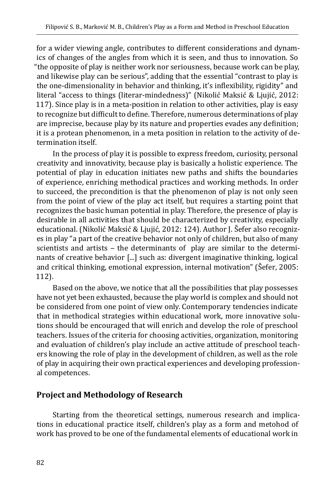for a wider viewing angle, contributes to different considerations and dynamics of changes of the angles from which it is seen, and thus to innovation. So "the opposite of play is neither work nor seriousness, because work can be play, and likewise play can be serious", adding that the essential "contrast to play is the one-dimensionality in behavior and thinking, it's inflexibility, rigidity" and literal "access to things (literar-mindedness)" (Nikolić Maksić & Ljujić, 2012: 117). Since play is in a meta-position in relation to other activities, play is easy to recognize but difficult to define. Therefore, numerous determinations of play are imprecise, because play by its nature and properties evades any definition; it is a protean phenomenon, in a meta position in relation to the activity of determination itself.

In the process of play it is possible to express freedom, curiosity, personal creativity and innovativity, because play is basically a holistic experience. The potential of play in education initiates new paths and shifts the boundaries of experience, enriching methodical practices and working methods. In order to succeed, the precondition is that the phenomenon of play is not only seen from the point of view of the play act itself, but requires a starting point that recognizes the basic human potential in play. Therefore, the presence of play is desirable in all activities that should be characterized by creativity, especially educational. (Nikolić Maksić & Ljujić, 2012: 124). Author J. Šefer also recognizes in play "a part of the creative behavior not only of children, but also of many scientists and artists - the determinants of play are similar to the determinants of creative behavior [...] such as: divergent imaginative thinking, logical and critical thinking, emotional expression, internal motivation" (Šefer, 2005: 112).

Based on the above, we notice that all the possibilities that play possesses have not yet been exhausted, because the play world is complex and should not be considered from one point of view only. Contemporary tendencies indicate that in methodical strategies within educational work, more innovative solutions should be encouraged that will enrich and develop the role of preschool teachers. Issues of the criteria for choosing activities, organization, monitoring and evaluation of children's play include an active attitude of preschool teachers knowing the role of play in the development of children, as well as the role of play in acquiring their own practical experiences and developing professional competences.

### **Project and Methodology of Research**

Starting from the theoretical settings, numerous research and implications in educational practice itself, children's play as a form and metohod of work has proved to be one of the fundamental elements of educational work in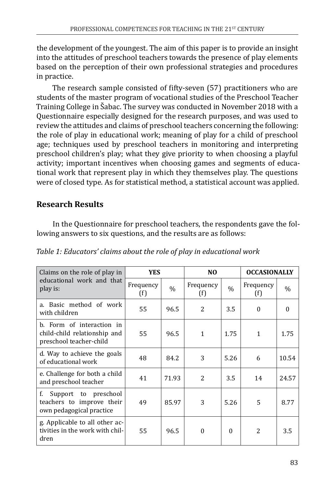the development of the youngest. The aim of this paper is to provide an insight into the attitudes of preschool teachers towards the presence of play elements based on the perception of their own professional strategies and procedures in practice.

The research sample consisted of fifty-seven (57) practitioners who are students of the master program of vocational studies of the Preschool Teacher Training College in Šabac. The survey was conducted in November 2018 with a Questionnaire especially designed for the research purposes, and was used to review the attitudes and claims of preschool teachers concerning the following: the role of play in educational work; meaning of play for a child of preschool age; techniques used by preschool teachers in monitoring and interpreting preschool children's play; what they give priority to when choosing a playful activity; important incentives when choosing games and segments of educational work that represent play in which they themselves play. The questions were of closed type. As for statistical method, a statistical account was applied.

## **Research Results**

In the Questionnaire for preschool teachers, the respondents gave the following answers to six questions, and the results are as follows:

| Claims on the role of play in                                                        | <b>YES</b>       |               | NO.              |               | <b>OCCASIONALLY</b> |          |
|--------------------------------------------------------------------------------------|------------------|---------------|------------------|---------------|---------------------|----------|
| educational work and that<br>play is:                                                | Frequency<br>(f) | $\frac{0}{0}$ | Frequency<br>(f) | $\frac{0}{0}$ | Frequency<br>(f)    | $\%$     |
| a. Basic method of work<br>with children                                             | 55               | 96.5          | 2                | 3.5           | $\theta$            | $\theta$ |
| b. Form of interaction in<br>child-child relationship and<br>preschool teacher-child | 55               | 96.5          | $\mathbf{1}$     | 1.75          | 1                   | 1.75     |
| d. Way to achieve the goals<br>of educational work                                   | 48               | 84.2          | 3                | 5.26          | 6                   | 10.54    |
| e. Challenge for both a child<br>and preschool teacher                               | 41               | 71.93         | $\mathfrak{D}$   | 3.5           | 14                  | 24.57    |
| f.<br>Support to preschool<br>teachers to improve their<br>own pedagogical practice  | 49               | 85.97         | 3                | 5.26          | 5                   | 8.77     |
| g. Applicable to all other ac-<br>tivities in the work with chil-<br>dren            | 55               | 96.5          | $\Omega$         | $\Omega$      | $\mathcal{P}$       | 3.5      |

*Table 1: Educators' claims about the role of play in educational work*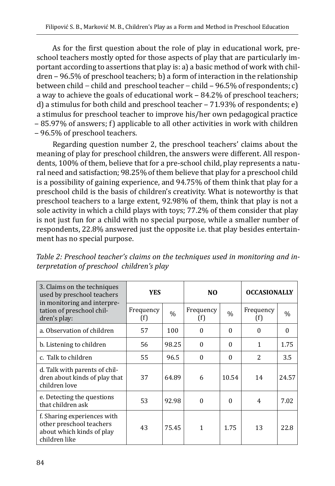As for the first question about the role of play in educational work, preschool teachers mostly opted for those aspects of play that are particularly important according to assertions that play is: a) a basic method of work with chil $dren - 96.5\%$  of preschool teachers; b) a form of interaction in the relationship between child – child and preschool teacher – child – 96.5% of respondents; c) a way to achieve the goals of educational work - 84.2% of preschool teachers; d) a stimulus for both child and preschool teacher  $-71.93\%$  of respondents; e) a stimulus for preschool teacher to improve his/her own pedagogical practice ‒ 85.97% of answers; f) applicable to all other activities in work with children ‒ 96.5% of preschool teachers.

Regarding question number 2, the preschool teachers' claims about the meaning of play for preschool children, the answers were different. All respondents, 100% of them, believe that for a pre-school child, play represents a natural need and satisfaction; 98.25% of them believe that play for a preschool child is a possibility of gaining experience, and 94.75% of them think that play for a preschool child is the basis of children's creativity. What is noteworthy is that preschool teachers to a large extent, 92.98% of them, think that play is not a sole activity in which a child plays with toys; 77.2% of them consider that play is not just fun for a child with no special purpose, while a smaller number of respondents, 22.8% answered just the opposite i.e. that play besides entertainment has no special purpose.

| Table 2: Preschool teacher's claims on the techniques used in monitoring and in- |  |
|----------------------------------------------------------------------------------|--|
| terpretation of preschool children's play                                        |  |

| 3. Claims on the techniques<br>used by preschool teachers<br>in monitoring and interpre-              | <b>YES</b>       |               | N <sub>0</sub>   |               | <b>OCCASIONALLY</b> |          |
|-------------------------------------------------------------------------------------------------------|------------------|---------------|------------------|---------------|---------------------|----------|
| tation of preschool chil-<br>dren's play:                                                             | Frequency<br>(f) | $\frac{0}{0}$ | Frequency<br>(f) | $\frac{0}{0}$ | Frequency<br>(f)    | $\%$     |
| a. Observation of children                                                                            | 57               | 100           | 0                | $\Omega$      | $\Omega$            | $\Omega$ |
| b. Listening to children                                                                              | 56               | 98.25         | $\Omega$         | $\Omega$      | 1                   | 1.75     |
| c. Talk to children                                                                                   | 55               | 96.5          | $\Omega$         | $\Omega$      | $\overline{c}$      | 3.5      |
| d. Talk with parents of chil-<br>dren about kinds of play that<br>children love                       | 37               | 64.89         | 6                | 10.54         | 14                  | 24.57    |
| e. Detecting the questions<br>that children ask                                                       | 53               | 92.98         | $\Omega$         | $\Omega$      | 4                   | 7.02     |
| f. Sharing experiences with<br>other preschool teachers<br>about which kinds of play<br>children like | 43               | 75.45         | 1                | 1.75          | 13                  | 22.8     |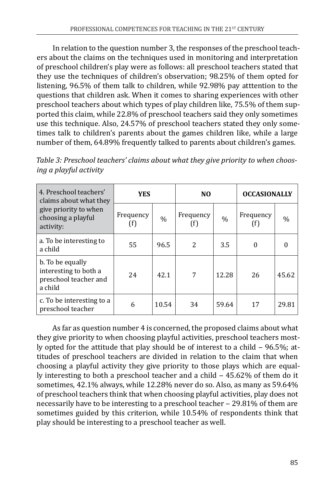In relation to the question number 3, the responses of the preschool teachers about the claims on the techniques used in monitoring and interpretation of preschool children's play were as follows: all preschool teachers stated that they use the techniques of children's observation; 98.25% of them opted for listening, 96.5% of them talk to children, while 92.98% pay atttention to the questions that children ask. When it comes to sharing experiences with other preschool teachers about which types of play children like, 75.5% of them supported this claim, while 22.8% of preschool teachers said they only sometimes use this technique. Also, 24.57% of preschool teachers stated they only sometimes talk to children's parents about the games children like, while a large number of them, 64.89% frequently talked to parents about children's games.

| 4. Preschool teachers'<br>claims about what they                              | <b>YES</b>       |               | N <sub>0</sub>    |               | <b>OCCASIONALLY</b> |       |
|-------------------------------------------------------------------------------|------------------|---------------|-------------------|---------------|---------------------|-------|
| give priority to when<br>choosing a playful<br>activity:                      | Frequency<br>(f) | $\frac{0}{0}$ | Frequency<br>(† ) | $\frac{0}{0}$ | Frequency           | $\%$  |
| a. To be interesting to<br>a child                                            | 55               | 96.5          | 2                 | 3.5           | $\theta$            |       |
| b. To be equally<br>interesting to both a<br>preschool teacher and<br>a child | 24               | 42.1          | 7                 | 12.28         | 26                  | 45.62 |
| c. To be interesting to a<br>preschool teacher                                | 6                | 10.54         | 34                | 59.64         | 17                  | 29.81 |

*Table 3: Preschool teachers' claims about what they give priority to when choosing a playful activity*

As far as question number 4 is concerned, the proposed claims about what they give priority to when choosing playful activities, preschool teachers mostly opted for the attitude that play should be of interest to a child  $-96.5\%$ ; attitudes of preschool teachers are divided in relation to the claim that when choosing a playful activity they give priority to those plays which are equally interesting to both a preschool teacher and a child – 45.62% of them do it sometimes, 42.1% always, while 12.28% never do so. Also, as many as 59.64% of preschool teachers think that when choosing playful activities, play does not necessarily have to be interesting to a preschool teacher - 29.81% of them are sometimes guided by this criterion, while 10.54% of respondents think that play should be interesting to a preschool teacher as well.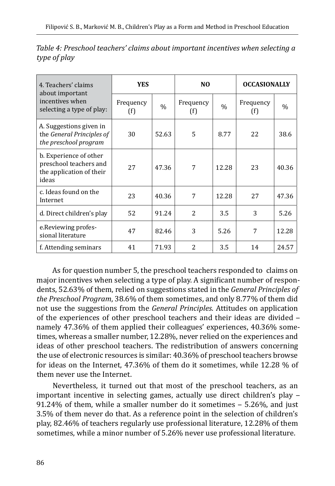| 4. Teachers' claims<br>about important                                                | <b>YES</b>       |               | N <sub>0</sub>   |               | <b>OCCASIONALLY</b> |       |
|---------------------------------------------------------------------------------------|------------------|---------------|------------------|---------------|---------------------|-------|
| incentives when<br>selecting a type of play:                                          | Frequency<br>(f) | $\frac{0}{0}$ | Frequency<br>(f) | $\frac{0}{0}$ | Frequency<br>(f)    | $\%$  |
| A. Suggestions given in<br>the General Principles of<br>the preschool program         | 30               | 52.63         | 5                | 8.77          | 22                  | 38.6  |
| b. Experience of other<br>preschool teachers and<br>the application of their<br>ideas | 27               | 47.36         | 7                | 12.28         | 23                  | 40.36 |
| c. Ideas found on the<br>Internet                                                     | 23               | 40.36         | 7                | 12.28         | 27                  | 47.36 |
| d. Direct children's play                                                             | 52               | 91.24         | $\overline{c}$   | 3.5           | 3                   | 5.26  |
| e. Reviewing profes-<br>sional literature                                             | 47               | 82.46         | 3                | 5.26          | 7                   | 12.28 |
| f. Attending seminars                                                                 | 41               | 71.93         | $\overline{c}$   | 3.5           | 14                  | 24.57 |

*Table 4: Preschool teachers' claims about important incentives when selecting a type of play*

As for question number 5, the preschool teachers responded to claims on major incentives when selecting a type of play. A significant number of respondents, 52.63% of them, relied on suggestions stated in the *General Principles of the Preschool Program*, 38.6% of them sometimes, and only 8.77% of them did not use the suggestions from the *General Principles*. Attitudes on application of the experiences of other preschool teachers and their ideas are divided namely 47.36% of them applied their colleagues' experiences, 40.36% sometimes, whereas a smaller number, 12.28%, never relied on the experiences and ideas of other preschool teachers. The redistribution of answers concerning the use of electronic resources is similar: 40.36% of preschool teachers browse for ideas on the Internet, 47.36% of them do it sometimes, while 12.28 % of them never use the Internet.

Nevertheless, it turned out that most of the preschool teachers, as an important incentive in selecting games, actually use direct children's play -91.24% of them, while a smaller number do it sometimes  $-$  5.26%, and just 3.5% of them never do that. As a reference point in the selection of children's play, 82.46% of teachers regularly use professional literature, 12.28% of them sometimes, while a minor number of 5.26% never use professional literature.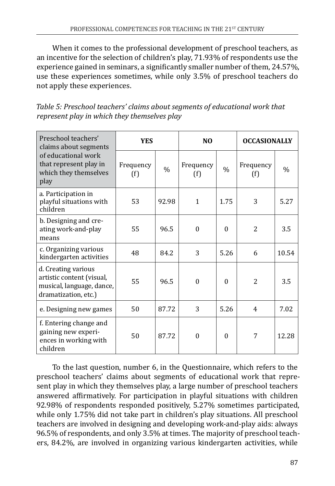When it comes to the professional development of preschool teachers, as an incentive for the selection of children's play, 71.93% of respondents use the experience gained in seminars, a significantly smaller number of them, 24.57%, use these experiences sometimes, while only 3.5% of preschool teachers do not apply these experiences.

*Table 5: Preschool teachers' claims about segments of educational work that represent play in which they themselves play*

| Preschool teachers'<br>claims about segments                                                          | <b>YES</b>       |               | N <sub>0</sub>   |               | <b>OCCASIONALLY</b> |       |
|-------------------------------------------------------------------------------------------------------|------------------|---------------|------------------|---------------|---------------------|-------|
| of educational work<br>that represent play in<br>which they themselves<br>play                        | Frequency<br>(f) | $\frac{0}{0}$ | Frequency<br>(f) | $\frac{0}{0}$ | Frequency<br>(f)    | $\%$  |
| a. Participation in<br>playful situations with<br>children                                            | 53               | 92.98         | $\mathbf{1}$     | 1.75          | 3                   | 5.27  |
| b. Designing and cre-<br>ating work-and-play<br>means                                                 | 55               | 96.5          | $\Omega$         | $\Omega$      | $\overline{2}$      | 3.5   |
| c. Organizing various<br>kindergarten activities                                                      | 48               | 84.2          | 3                | 5.26          | 6                   | 10.54 |
| d. Creating various<br>artistic content (visual,<br>musical, language, dance,<br>dramatization, etc.) | 55               | 96.5          | $\Omega$         | $\theta$      | $\overline{2}$      | 3.5   |
| e. Designing new games                                                                                | 50               | 87.72         | 3                | 5.26          | 4                   | 7.02  |
| f. Entering change and<br>gaining new experi-<br>ences in working with<br>children                    | 50               | 87.72         | $\Omega$         | $\Omega$      | 7                   | 12.28 |

To the last question, number 6, in the Questionnaire, which refers to the preschool teachers' claims about segments of educational work that represent play in which they themselves play, a large number of preschool teachers answered affirmatively. For participation in playful situations with children 92.98% of respondents responded positively, 5.27% sometimes participated, while only 1.75% did not take part in children's play situations. All preschool teachers are involved in designing and developing work-and-play aids: always 96.5% of respondents, and only 3.5% at times. The majority of preschool teachers, 84.2%, are involved in organizing various kindergarten activities, while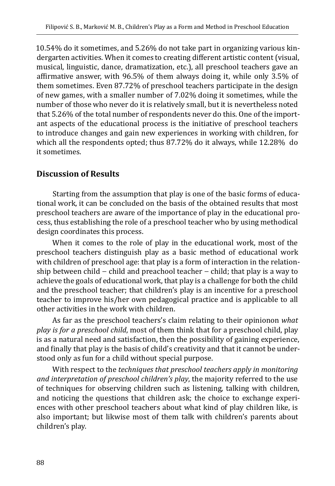10.54% do it sometimes, and 5.26% do not take part in organizing various kindergarten activities. When it comes to creating different artistic content (visual, musical, linguistic, dance, dramatization, etc.), all preschool teachers gave an affirmative answer, with 96.5% of them always doing it, while only 3.5% of them sometimes. Even 87.72% of preschool teachers participate in the design of new games, with a smaller number of 7.02% doing it sometimes, while the number of those who never do it is relatively small, but it is nevertheless noted that 5.26% of the total number of respondents never do this. One of the important aspects of the educational process is the initiative of preschool teachers to introduce changes and gain new experiences in working with children, for which all the respondents opted; thus 87.72% do it always, while 12.28% do it sometimes.

### **Discussion of Results**

Starting from the assumption that play is one of the basic forms of educational work, it can be concluded on the basis of the obtained results that most preschool teachers are aware of the importance of play in the educational process, thus establishing the role of a preschool teacher who by using methodical design coordinates this process.

When it comes to the role of play in the educational work, most of the preschool teachers distinguish play as a basic method of educational work with children of preschool age: that play is a form of interaction in the relationship between child − child and preachool teacher − child; that play is a way to achieve the goals of educational work, that play is a challenge for both the child and the preschool teacher; that children's play is an incentive for a preschool teacher to improve his/her own pedagogical practice and is applicable to all other activities in the work with children.

As far as the preschool teachers's claim relating to their opinionon *what play is for a preschool child*, most of them think that for a preschool child, play is as a natural need and satisfaction, then the possibility of gaining experience, and finally that play is the basis of child's creativity and that it cannot be understood only as fun for a child without special purpose.

With respect to the *techniques that preschool teachers apply in monitoring and interpretation of preschool children's play*, the majority referred to the use of techniques for observing children such as listening, talking with children, and noticing the questions that children ask; the choice to exchange experiences with other preschool teachers about what kind of play children like, is also important; but likwise most of them talk with children's parents about children's play.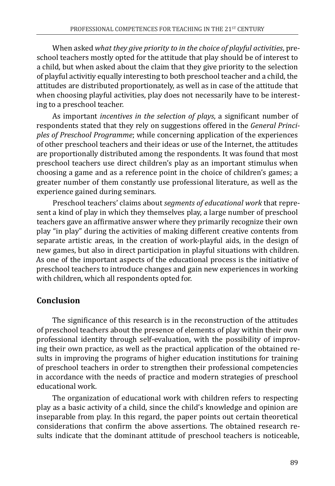When asked *what they give priority to in the choice of playful activities*, preschool teachers mostly opted for the attitude that play should be of interest to a child, but when asked about the claim that they give priority to the selection of playful activitiy equally interesting to both preschool teacher and a child, the attitudes are distributed proportionately, as well as in case of the attitude that when choosing playful activities, play does not necessarily have to be interesting to a preschool teacher.

As important *incentives in the selection of plays*, a significant number of respondents stated that they rely on suggestions offered in the *General Principles of Preschool Programme*; while concerning application of the experiences of other preschool teachers and their ideas or use of the Internet, the attitudes are proportionally distributed among the respondents. It was found that most preschool teachers use direct children's play as an important stimulus when choosing a game and as a reference point in the choice of children's games; a greater number of them constantly use professional literature, as well as the experience gained during seminars.

Preschool teachers' claims about *segments of educational work* that represent a kind of play in which they themselves play, a large number of preschool teachers gave an affirmative answer where they primarily recognize their own play "in play" during the activities of making different creative contents from separate artistic areas, in the creation of work-playful aids, in the design of new games, but also in direct participation in playful situations with children. As one of the important aspects of the educational process is the initiative of preschool teachers to introduce changes and gain new experiences in working with children, which all respondents opted for.

### **Conclusion**

The significance of this research is in the reconstruction of the attitudes of preschool teachers about the presence of elements of play within their own professional identity through self-evaluation, with the possibility of improving their own practice, as well as the practical application of the obtained results in improving the programs of higher education institutions for training of preschool teachers in order to strengthen their professional competencies in accordance with the needs of practice and modern strategies of preschool educational work.

The organization of educational work with children refers to respecting play as a basic activity of a child, since the child's knowledge and opinion are inseparable from play. In this regard, the paper points out certain theoretical considerations that confirm the above assertions. The obtained research results indicate that the dominant attitude of preschool teachers is noticeable,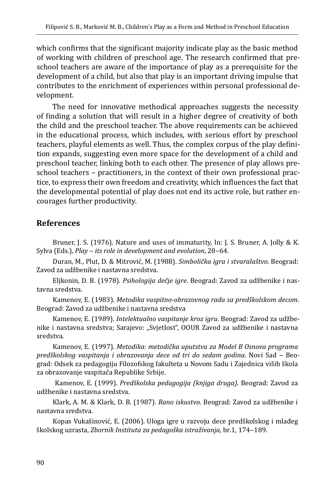which confirms that the significant majority indicate play as the basic method of working with children of preschool age. The research confirmed that preschool teachers are aware of the importance of play as a prerequisite for the development of a child, but also that play is an important driving impulse that contributes to the enrichment of experiences within personal professional development.

The need for innovative methodical approaches suggests the necessity of finding a solution that will result in a higher degree of creativity of both the child and the preschool teacher. The above requirements can be achieved in the educational process, which includes, with serious effort by preschool teachers, playful elements as well. Thus, the complex corpus of the play definition expands, suggesting even more space for the development of a child and preschool teacher, linking both to each other. The presence of play allows preschool teachers – practitioners, in the context of their own professional practice, to express their own freedom and creativity, which influences the fact that the developmental potential of play does not end its active role, but rather encourages further productivity.

### **References**

Bruner, J. S. (1976). Nature and uses of immaturity, In: J. S. Bruner, A. Jolly & K. Sylva (Eds.), *Play – its role in development and evolution*, 28–64.

Duran, М., Plut, D. & Mitrović, M. (1988). *Simbolička igra i stvaralaštvo*. Beograd: Zavod za udžbenike i nastavna sredstva.

Eljkonin, D. B. (1978). *Psihologija dečje igre*. Beograd: Zavod za udžbenike i nastavna sredstva.

Kamenov, E. (1983). *Metodika vaspitno-obrazovnog rada sa predškolskom decom*. Beograd: Zavod za udžbenike i nastavna sredstva

Kamenov, E. (1989). *Intelektualno vaspitanje kroz igru*. Beograd: Zavod za udžbenike i nastavna sredstva; Sarajevo: "Svjetlost", OOUR Zavod za udžbenike i nastavna sredstva.

Kamenov, E. (1997). *Metodika: metodička uputstva za Model B Osnova programa predškolskog vaspitanja i obrazovanja dece od tri do sedam godina*. Novi Sad ‒ Beograd: Odsek za pedagogiju Filozofskog fakulteta u Novom Sadu i Zajednica viših škola za obrazovanje vaspitača Republike Srbije.

 Kamenov, E. (1999). *Predškolska pedagogija (knjiga druga)*. Beograd: Zavod za udžbenike i nastavna sredstva.

Klark, A. M. & Klark, D. B. (1987). *Rano iskustvo*. Beograd: Zavod za udžbenike i nastavna sredstva.

Kopas Vukašinović, E. (2006). Uloga igre u razvoju dece predškolskog i mlađeg školskog uzrasta, *Zbornik Instituta za pedagoška istraživanja*, br.1, 174‒189.